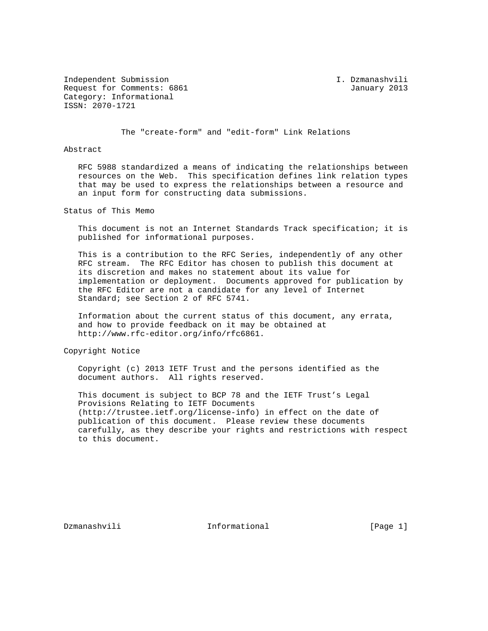Independent Submission I. Dzmanashvili Request for Comments: 6861 January 2013 Category: Informational ISSN: 2070-1721

The "create-form" and "edit-form" Link Relations

## Abstract

 RFC 5988 standardized a means of indicating the relationships between resources on the Web. This specification defines link relation types that may be used to express the relationships between a resource and an input form for constructing data submissions.

Status of This Memo

 This document is not an Internet Standards Track specification; it is published for informational purposes.

 This is a contribution to the RFC Series, independently of any other RFC stream. The RFC Editor has chosen to publish this document at its discretion and makes no statement about its value for implementation or deployment. Documents approved for publication by the RFC Editor are not a candidate for any level of Internet Standard; see Section 2 of RFC 5741.

 Information about the current status of this document, any errata, and how to provide feedback on it may be obtained at http://www.rfc-editor.org/info/rfc6861.

Copyright Notice

 Copyright (c) 2013 IETF Trust and the persons identified as the document authors. All rights reserved.

 This document is subject to BCP 78 and the IETF Trust's Legal Provisions Relating to IETF Documents (http://trustee.ietf.org/license-info) in effect on the date of publication of this document. Please review these documents carefully, as they describe your rights and restrictions with respect to this document.

Dzmanashvili **Informational Informational** [Page 1]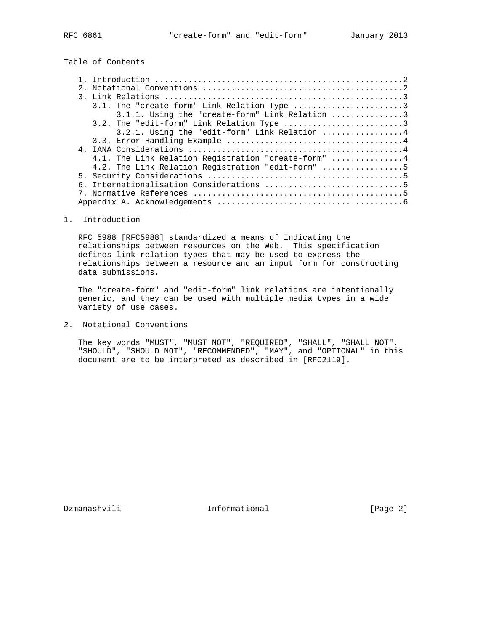## Table of Contents

|  | 3.1.1. Using the "create-form" Link Relation 3      |
|--|-----------------------------------------------------|
|  | 3.2. The "edit-form" Link Relation Type 3           |
|  | $3.2.1.$ Using the "edit-form" Link Relation 4      |
|  |                                                     |
|  |                                                     |
|  | 4.1. The Link Relation Registration "create-form" 4 |
|  | 4.2. The Link Relation Registration "edit-form" 5   |
|  |                                                     |
|  |                                                     |
|  |                                                     |
|  |                                                     |
|  |                                                     |

## 1. Introduction

 RFC 5988 [RFC5988] standardized a means of indicating the relationships between resources on the Web. This specification defines link relation types that may be used to express the relationships between a resource and an input form for constructing data submissions.

 The "create-form" and "edit-form" link relations are intentionally generic, and they can be used with multiple media types in a wide variety of use cases.

2. Notational Conventions

 The key words "MUST", "MUST NOT", "REQUIRED", "SHALL", "SHALL NOT", "SHOULD", "SHOULD NOT", "RECOMMENDED", "MAY", and "OPTIONAL" in this document are to be interpreted as described in [RFC2119].

Dzmanashvili 1000 Informational 1000 Informational [Page 2]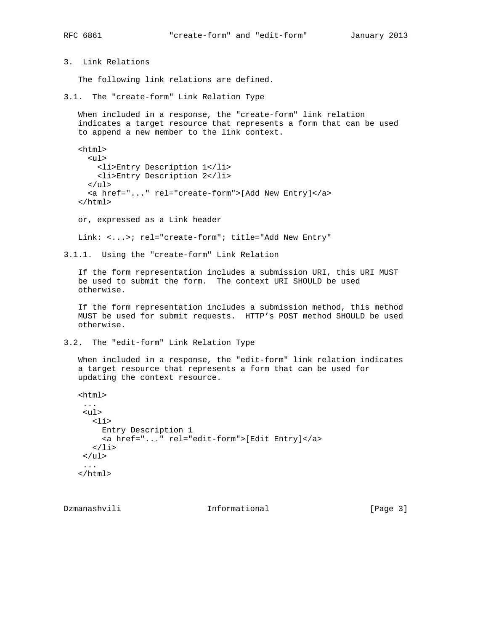3. Link Relations

The following link relations are defined.

3.1. The "create-form" Link Relation Type

 When included in a response, the "create-form" link relation indicates a target resource that represents a form that can be used to append a new member to the link context.

 <html> <ul> <li>Entry Description 1</li> <li>Entry Description 2</li>  $\langle$ /ul> <a href="..." rel="create-form">[Add New Entry]</a> </html>

or, expressed as a Link header

Link: <...>; rel="create-form"; title="Add New Entry"

3.1.1. Using the "create-form" Link Relation

 If the form representation includes a submission URI, this URI MUST be used to submit the form. The context URI SHOULD be used otherwise.

 If the form representation includes a submission method, this method MUST be used for submit requests. HTTP's POST method SHOULD be used otherwise.

3.2. The "edit-form" Link Relation Type

 When included in a response, the "edit-form" link relation indicates a target resource that represents a form that can be used for updating the context resource.

```
 <html>
 ...
 <ul>
   <li>
     Entry Description 1
      <a href="..." rel="edit-form">[Edit Entry]</a>
  \langle/li\rangle\langle \text{ul}\rangle ...
</html>
```
Dzmanashvili 1000 Informational 1000 Informational [Page 3]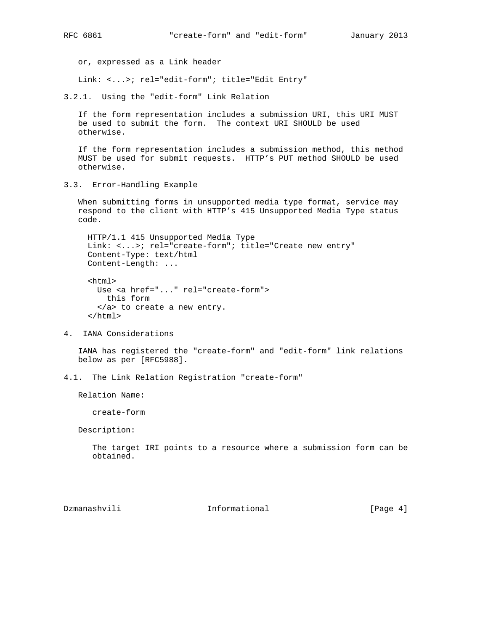or, expressed as a Link header

Link: <...>; rel="edit-form"; title="Edit Entry"

3.2.1. Using the "edit-form" Link Relation

 If the form representation includes a submission URI, this URI MUST be used to submit the form. The context URI SHOULD be used otherwise.

 If the form representation includes a submission method, this method MUST be used for submit requests. HTTP's PUT method SHOULD be used otherwise.

3.3. Error-Handling Example

 When submitting forms in unsupported media type format, service may respond to the client with HTTP's 415 Unsupported Media Type status code.

 HTTP/1.1 415 Unsupported Media Type Link: <...>; rel="create-form"; title="Create new entry" Content-Type: text/html Content-Length: ...

 <html> Use <a href="..." rel="create-form"> this form </a> to create a new entry. </html>

4. IANA Considerations

 IANA has registered the "create-form" and "edit-form" link relations below as per [RFC5988].

4.1. The Link Relation Registration "create-form"

Relation Name:

create-form

Description:

 The target IRI points to a resource where a submission form can be obtained.

Dzmanashvili 1000 Informational 1000 Informational [Page 4]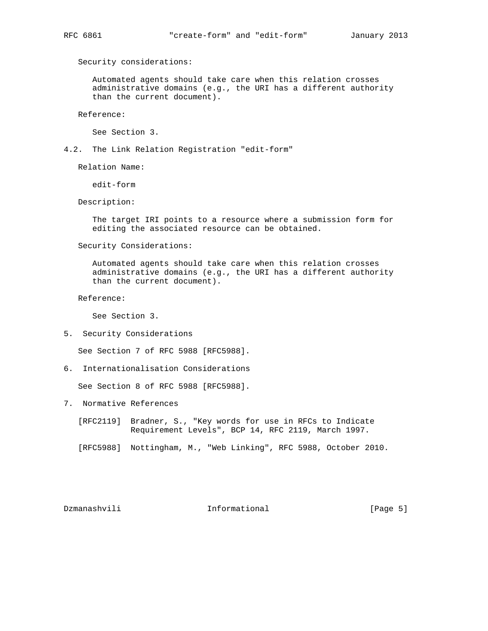Security considerations:

 Automated agents should take care when this relation crosses administrative domains (e.g., the URI has a different authority than the current document).

Reference:

See Section 3.

4.2. The Link Relation Registration "edit-form"

Relation Name:

edit-form

Description:

 The target IRI points to a resource where a submission form for editing the associated resource can be obtained.

Security Considerations:

 Automated agents should take care when this relation crosses administrative domains (e.g., the URI has a different authority than the current document).

Reference:

See Section 3.

5. Security Considerations

See Section 7 of RFC 5988 [RFC5988].

6. Internationalisation Considerations

See Section 8 of RFC 5988 [RFC5988].

- 7. Normative References
	- [RFC2119] Bradner, S., "Key words for use in RFCs to Indicate Requirement Levels", BCP 14, RFC 2119, March 1997.
	- [RFC5988] Nottingham, M., "Web Linking", RFC 5988, October 2010.

Dzmanashvili **Informational** Informational [Page 5]